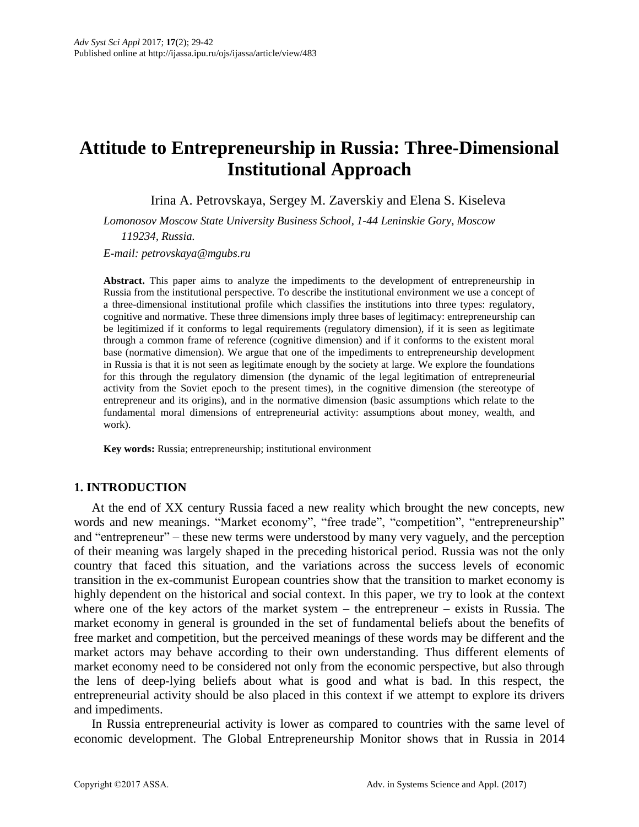# **Attitude to Entrepreneurship in Russia: Three-Dimensional Institutional Approach**

Irina A. Petrovskaya, Sergey M. Zaverskiy and Elena S. Kiseleva

*Lomonosov Moscow State University Business School, 1-44 Leninskie Gory, Moscow 119234, Russia.*

*E-mail: petrovskaya@mgubs.ru*

**Abstract.** This paper aims to analyze the impediments to the development of entrepreneurship in Russia from the institutional perspective. To describe the institutional environment we use a concept of a three-dimensional institutional profile which classifies the institutions into three types: regulatory, cognitive and normative. These three dimensions imply three bases of legitimacy: entrepreneurship can be legitimized if it conforms to legal requirements (regulatory dimension), if it is seen as legitimate through a common frame of reference (cognitive dimension) and if it conforms to the existent moral base (normative dimension). We argue that one of the impediments to entrepreneurship development in Russia is that it is not seen as legitimate enough by the society at large. We explore the foundations for this through the regulatory dimension (the dynamic of the legal legitimation of entrepreneurial activity from the Soviet epoch to the present times), in the cognitive dimension (the stereotype of entrepreneur and its origins), and in the normative dimension (basic assumptions which relate to the fundamental moral dimensions of entrepreneurial activity: assumptions about money, wealth, and work).

**Key words:** Russia; entrepreneurship; institutional environment

# **1. INTRODUCTION**

At the end of XX century Russia faced a new reality which brought the new concepts, new words and new meanings. "Market economy", "free trade", "competition", "entrepreneurship" and "entrepreneur" – these new terms were understood by many very vaguely, and the perception of their meaning was largely shaped in the preceding historical period. Russia was not the only country that faced this situation, and the variations across the success levels of economic transition in the ex-communist European countries show that the transition to market economy is highly dependent on the historical and social context. In this paper, we try to look at the context where one of the key actors of the market system – the entrepreneur – exists in Russia. The market economy in general is grounded in the set of fundamental beliefs about the benefits of free market and competition, but the perceived meanings of these words may be different and the market actors may behave according to their own understanding. Thus different elements of market economy need to be considered not only from the economic perspective, but also through the lens of deep-lying beliefs about what is good and what is bad. In this respect, the entrepreneurial activity should be also placed in this context if we attempt to explore its drivers and impediments.

In Russia entrepreneurial activity is lower as compared to countries with the same level of economic development. The Global Entrepreneurship Monitor shows that in Russia in 2014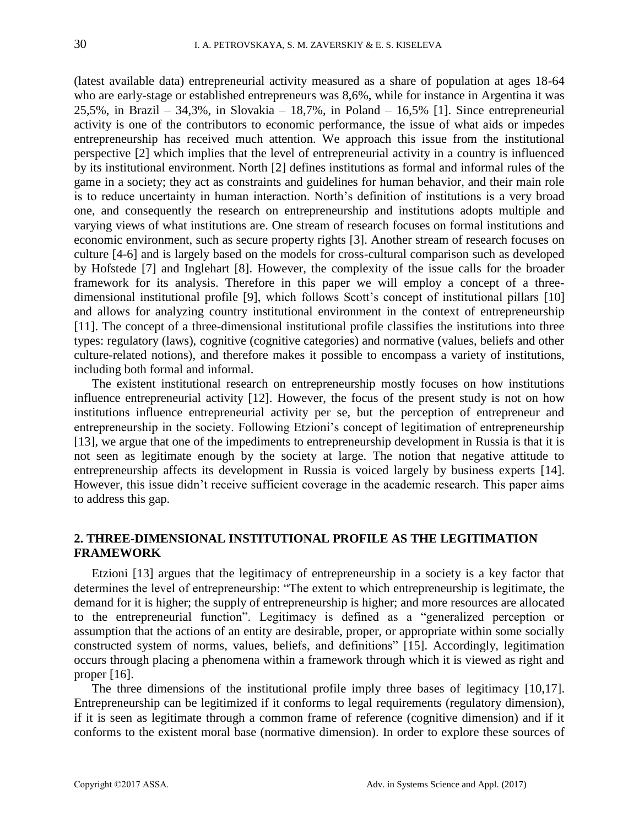(latest available data) entrepreneurial activity measured as a share of population at ages 18-64 who are early-stage or established entrepreneurs was 8,6%, while for instance in Argentina it was 25,5%, in Brazil – 34,3%, in Slovakia – 18,7%, in Poland – 16,5% [1]. Since entrepreneurial activity is one of the contributors to economic performance, the issue of what aids or impedes entrepreneurship has received much attention. We approach this issue from the institutional perspective [2] which implies that the level of entrepreneurial activity in a country is influenced by its institutional environment. North [2] defines institutions as formal and informal rules of the game in a society; they act as constraints and guidelines for human behavior, and their main role is to reduce uncertainty in human interaction. North's definition of institutions is a very broad one, and consequently the research on entrepreneurship and institutions adopts multiple and varying views of what institutions are. One stream of research focuses on formal institutions and economic environment, such as secure property rights [3]. Another stream of research focuses on culture [4-6] and is largely based on the models for cross-cultural comparison such as developed by Hofstede [7] and Inglehart [8]. However, the complexity of the issue calls for the broader framework for its analysis. Therefore in this paper we will employ a concept of a threedimensional institutional profile [9], which follows Scott's concept of institutional pillars [10] and allows for analyzing country institutional environment in the context of entrepreneurship [11]. The concept of a three-dimensional institutional profile classifies the institutions into three types: regulatory (laws), cognitive (cognitive categories) and normative (values, beliefs and other culture-related notions), and therefore makes it possible to encompass a variety of institutions, including both formal and informal.

The existent institutional research on entrepreneurship mostly focuses on how institutions influence entrepreneurial activity [12]. However, the focus of the present study is not on how institutions influence entrepreneurial activity per se, but the perception of entrepreneur and entrepreneurship in the society. Following Etzioni's concept of legitimation of entrepreneurship [13], we argue that one of the impediments to entrepreneurship development in Russia is that it is not seen as legitimate enough by the society at large. The notion that negative attitude to entrepreneurship affects its development in Russia is voiced largely by business experts [14]. However, this issue didn't receive sufficient coverage in the academic research. This paper aims to address this gap.

## **2. THREE-DIMENSIONAL INSTITUTIONAL PROFILE AS THE LEGITIMATION FRAMEWORK**

Etzioni [13] argues that the legitimacy of entrepreneurship in a society is a key factor that determines the level of entrepreneurship: "The extent to which entrepreneurship is legitimate, the demand for it is higher; the supply of entrepreneurship is higher; and more resources are allocated to the entrepreneurial function". Legitimacy is defined as a "generalized perception or assumption that the actions of an entity are desirable, proper, or appropriate within some socially constructed system of norms, values, beliefs, and definitions" [15]. Accordingly, legitimation occurs through placing a phenomena within a framework through which it is viewed as right and proper [16].

The three dimensions of the institutional profile imply three bases of legitimacy [10,17]. Entrepreneurship can be legitimized if it conforms to legal requirements (regulatory dimension), if it is seen as legitimate through a common frame of reference (cognitive dimension) and if it conforms to the existent moral base (normative dimension). In order to explore these sources of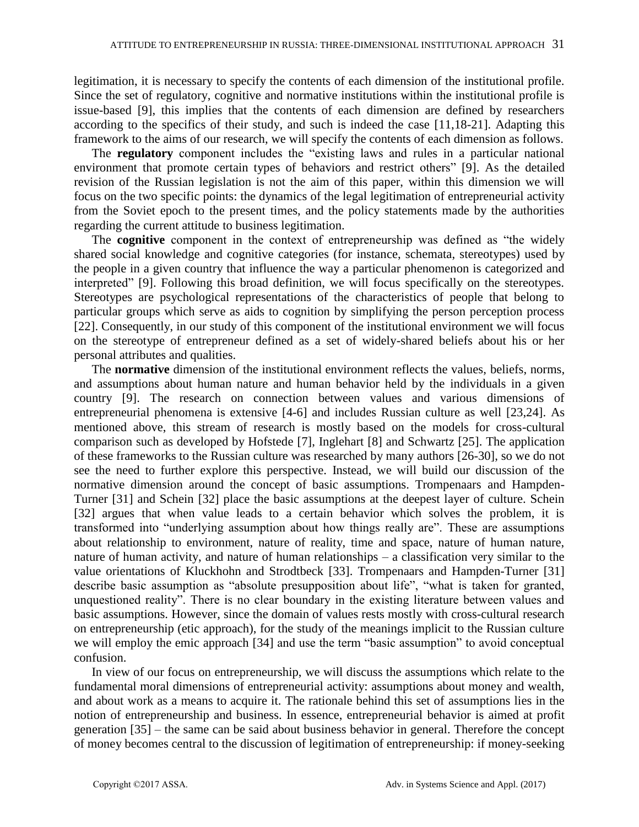legitimation, it is necessary to specify the contents of each dimension of the institutional profile. Since the set of regulatory, cognitive and normative institutions within the institutional profile is issue-based [9], this implies that the contents of each dimension are defined by researchers according to the specifics of their study, and such is indeed the case [11,18-21]. Adapting this framework to the aims of our research, we will specify the contents of each dimension as follows.

The **regulatory** component includes the "existing laws and rules in a particular national environment that promote certain types of behaviors and restrict others" [9]. As the detailed revision of the Russian legislation is not the aim of this paper, within this dimension we will focus on the two specific points: the dynamics of the legal legitimation of entrepreneurial activity from the Soviet epoch to the present times, and the policy statements made by the authorities regarding the current attitude to business legitimation.

The **cognitive** component in the context of entrepreneurship was defined as "the widely shared social knowledge and cognitive categories (for instance, schemata, stereotypes) used by the people in a given country that influence the way a particular phenomenon is categorized and interpreted" [9]. Following this broad definition, we will focus specifically on the stereotypes. Stereotypes are psychological representations of the characteristics of people that belong to particular groups which serve as aids to cognition by simplifying the person perception process [22]. Consequently, in our study of this component of the institutional environment we will focus on the stereotype of entrepreneur defined as a set of widely-shared beliefs about his or her personal attributes and qualities.

The **normative** dimension of the institutional environment reflects the values, beliefs, norms, and assumptions about human nature and human behavior held by the individuals in a given country [9]. The research on connection between values and various dimensions of entrepreneurial phenomena is extensive [4-6] and includes Russian culture as well [23,24]. As mentioned above, this stream of research is mostly based on the models for cross-cultural comparison such as developed by Hofstede [7], Inglehart [8] and Schwartz [25]. The application of these frameworks to the Russian culture was researched by many authors [26-30], so we do not see the need to further explore this perspective. Instead, we will build our discussion of the normative dimension around the concept of basic assumptions. Trompenaars and Hampden-Turner [31] and Schein [32] place the basic assumptions at the deepest layer of culture. Schein [32] argues that when value leads to a certain behavior which solves the problem, it is transformed into "underlying assumption about how things really are". These are assumptions about relationship to environment, nature of reality, time and space, nature of human nature, nature of human activity, and nature of human relationships – a classification very similar to the value orientations of Kluckhohn and Strodtbeck [33]. Trompenaars and Hampden-Turner [31] describe basic assumption as "absolute presupposition about life", "what is taken for granted, unquestioned reality". There is no clear boundary in the existing literature between values and basic assumptions. However, since the domain of values rests mostly with cross-cultural research on entrepreneurship (etic approach), for the study of the meanings implicit to the Russian culture we will employ the emic approach [34] and use the term "basic assumption" to avoid conceptual confusion.

In view of our focus on entrepreneurship, we will discuss the assumptions which relate to the fundamental moral dimensions of entrepreneurial activity: assumptions about money and wealth, and about work as a means to acquire it. The rationale behind this set of assumptions lies in the notion of entrepreneurship and business. In essence, entrepreneurial behavior is aimed at profit generation [35] – the same can be said about business behavior in general. Therefore the concept of money becomes central to the discussion of legitimation of entrepreneurship: if money-seeking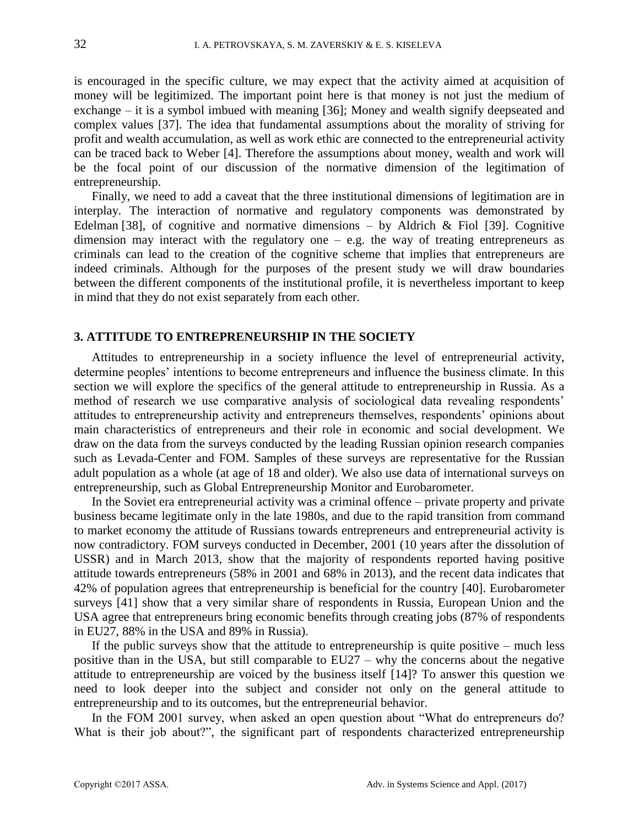is encouraged in the specific culture, we may expect that the activity aimed at acquisition of money will be legitimized. The important point here is that money is not just the medium of exchange – it is a symbol imbued with meaning [36]; Money and wealth signify deepseated and complex values [37]. The idea that fundamental assumptions about the morality of striving for profit and wealth accumulation, as well as work ethic are connected to the entrepreneurial activity can be traced back to Weber [4]. Therefore the assumptions about money, wealth and work will be the focal point of our discussion of the normative dimension of the legitimation of entrepreneurship.

Finally, we need to add a caveat that the three institutional dimensions of legitimation are in interplay. The interaction of normative and regulatory components was demonstrated by Edelman [38], of cognitive and normative dimensions – by Aldrich & Fiol [39]. Cognitive dimension may interact with the regulatory one  $-$  e.g. the way of treating entrepreneurs as criminals can lead to the creation of the cognitive scheme that implies that entrepreneurs are indeed criminals. Although for the purposes of the present study we will draw boundaries between the different components of the institutional profile, it is nevertheless important to keep in mind that they do not exist separately from each other.

## **3. ATTITUDE TO ENTREPRENEURSHIP IN THE SOCIETY**

Attitudes to entrepreneurship in a society influence the level of entrepreneurial activity, determine peoples' intentions to become entrepreneurs and influence the business climate. In this section we will explore the specifics of the general attitude to entrepreneurship in Russia. As a method of research we use comparative analysis of sociological data revealing respondents' attitudes to entrepreneurship activity and entrepreneurs themselves, respondents' opinions about main characteristics of entrepreneurs and their role in economic and social development. We draw on the data from the surveys conducted by the leading Russian opinion research companies such as Levada-Center and FOM. Samples of these surveys are representative for the Russian adult population as a whole (at age of 18 and older). We also use data of international surveys on entrepreneurship, such as Global Entrepreneurship Monitor and Eurobarometer.

In the Soviet era entrepreneurial activity was a criminal offence – private property and private business became legitimate only in the late 1980s, and due to the rapid transition from command to market economy the attitude of Russians towards entrepreneurs and entrepreneurial activity is now contradictory. FOM surveys conducted in December, 2001 (10 years after the dissolution of USSR) and in March 2013, show that the majority of respondents reported having positive attitude towards entrepreneurs (58% in 2001 and 68% in 2013), and the recent data indicates that 42% of population agrees that entrepreneurship is beneficial for the country [40]. Eurobarometer surveys [41] show that a very similar share of respondents in Russia, European Union and the USA agree that entrepreneurs bring economic benefits through creating jobs (87% of respondents in EU27, 88% in the USA and 89% in Russia).

If the public surveys show that the attitude to entrepreneurship is quite positive – much less positive than in the USA, but still comparable to EU27 – why the concerns about the negative attitude to entrepreneurship are voiced by the business itself [14]? To answer this question we need to look deeper into the subject and consider not only on the general attitude to entrepreneurship and to its outcomes, but the entrepreneurial behavior.

In the FOM 2001 survey, when asked an open question about "What do entrepreneurs do? What is their job about?", the significant part of respondents characterized entrepreneurship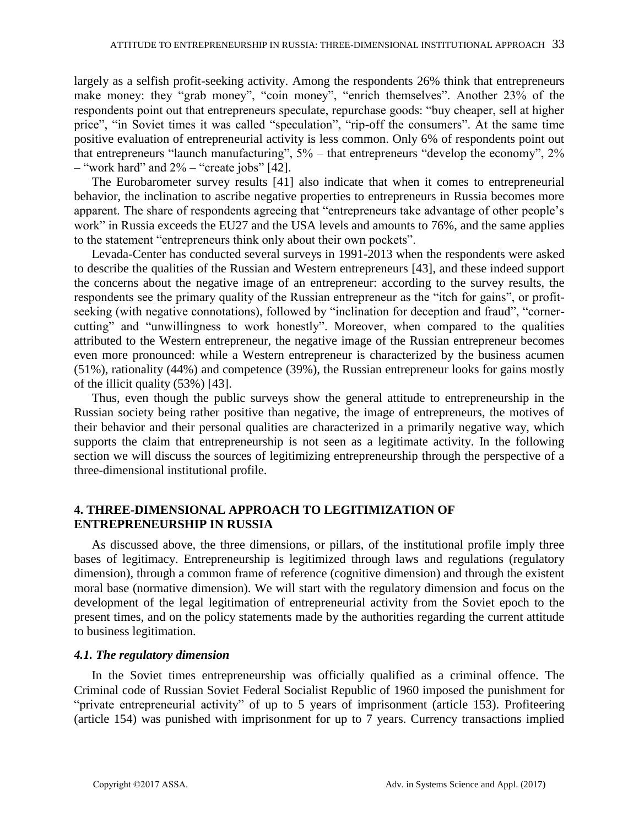largely as a selfish profit-seeking activity. Among the respondents 26% think that entrepreneurs make money: they "grab money", "coin money", "enrich themselves". Another 23% of the respondents point out that entrepreneurs speculate, repurchase goods: "buy cheaper, sell at higher price", "in Soviet times it was called "speculation", "rip-off the consumers". At the same time positive evaluation of entrepreneurial activity is less common. Only 6% of respondents point out that entrepreneurs "launch manufacturing",  $5%$  – that entrepreneurs "develop the economy",  $2%$ – "work hard" and  $2\%$  – "create jobs" [42].

The Eurobarometer survey results [41] also indicate that when it comes to entrepreneurial behavior, the inclination to ascribe negative properties to entrepreneurs in Russia becomes more apparent. The share of respondents agreeing that "entrepreneurs take advantage of other people's work" in Russia exceeds the EU27 and the USA levels and amounts to 76%, and the same applies to the statement "entrepreneurs think only about their own pockets".

Levada-Center has conducted several surveys in 1991-2013 when the respondents were asked to describe the qualities of the Russian and Western entrepreneurs [43], and these indeed support the concerns about the negative image of an entrepreneur: according to the survey results, the respondents see the primary quality of the Russian entrepreneur as the "itch for gains", or profitseeking (with negative connotations), followed by "inclination for deception and fraud", "cornercutting" and "unwillingness to work honestly". Moreover, when compared to the qualities attributed to the Western entrepreneur, the negative image of the Russian entrepreneur becomes even more pronounced: while a Western entrepreneur is characterized by the business acumen (51%), rationality (44%) and competence (39%), the Russian entrepreneur looks for gains mostly of the illicit quality (53%) [43].

Thus, even though the public surveys show the general attitude to entrepreneurship in the Russian society being rather positive than negative, the image of entrepreneurs, the motives of their behavior and their personal qualities are characterized in a primarily negative way, which supports the claim that entrepreneurship is not seen as a legitimate activity. In the following section we will discuss the sources of legitimizing entrepreneurship through the perspective of a three-dimensional institutional profile.

## **4. THREE-DIMENSIONAL APPROACH TO LEGITIMIZATION OF ENTREPRENEURSHIP IN RUSSIA**

As discussed above, the three dimensions, or pillars, of the institutional profile imply three bases of legitimacy. Entrepreneurship is legitimized through laws and regulations (regulatory dimension), through a common frame of reference (cognitive dimension) and through the existent moral base (normative dimension). We will start with the regulatory dimension and focus on the development of the legal legitimation of entrepreneurial activity from the Soviet epoch to the present times, and on the policy statements made by the authorities regarding the current attitude to business legitimation.

## *4.1. The regulatory dimension*

In the Soviet times entrepreneurship was officially qualified as a criminal offence. The Criminal code of Russian Soviet Federal Socialist Republic of 1960 imposed the punishment for "private entrepreneurial activity" of up to 5 years of imprisonment (article 153). Profiteering (article 154) was punished with imprisonment for up to  $\overline{7}$  years. Currency transactions implied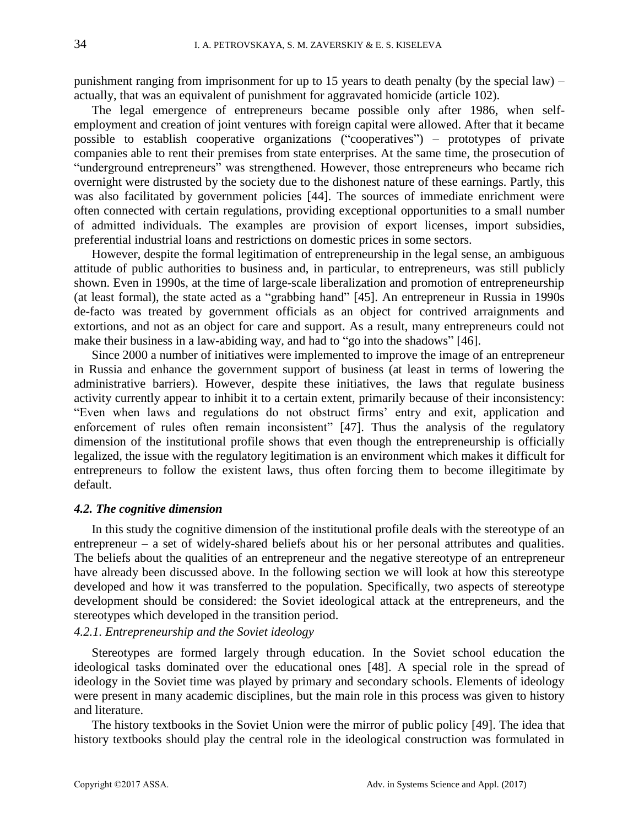punishment ranging from imprisonment for up to 15 years to death penalty (by the special law) – actually, that was an equivalent of punishment for aggravated homicide (article 102).

The legal emergence of entrepreneurs became possible only after 1986, when selfemployment and creation of joint ventures with foreign capital were allowed. After that it became possible to establish cooperative organizations ("cooperatives") – prototypes of private companies able to rent their premises from state enterprises. At the same time, the prosecution of "underground entrepreneurs" was strengthened. However, those entrepreneurs who became rich overnight were distrusted by the society due to the dishonest nature of these earnings. Partly, this was also facilitated by government policies [44]. The sources of immediate enrichment were often connected with certain regulations, providing exceptional opportunities to a small number of admitted individuals. The examples are provision of export licenses, import subsidies, preferential industrial loans and restrictions on domestic prices in some sectors.

However, despite the formal legitimation of entrepreneurship in the legal sense, an ambiguous attitude of public authorities to business and, in particular, to entrepreneurs, was still publicly shown. Even in 1990s, at the time of large-scale liberalization and promotion of entrepreneurship (at least formal), the state acted as a "grabbing hand" [45]. An entrepreneur in Russia in 1990s de-facto was treated by government officials as an object for contrived arraignments and extortions, and not as an object for care and support. As a result, many entrepreneurs could not make their business in a law-abiding way, and had to "go into the shadows" [46].

Since 2000 a number of initiatives were implemented to improve the image of an entrepreneur in Russia and enhance the government support of business (at least in terms of lowering the administrative barriers). However, despite these initiatives, the laws that regulate business activity currently appear to inhibit it to a certain extent, primarily because of their inconsistency: "Even when laws and regulations do not obstruct firms' entry and exit, application and enforcement of rules often remain inconsistent" [47]. Thus the analysis of the regulatory dimension of the institutional profile shows that even though the entrepreneurship is officially legalized, the issue with the regulatory legitimation is an environment which makes it difficult for entrepreneurs to follow the existent laws, thus often forcing them to become illegitimate by default.

### *4.2. The cognitive dimension*

In this study the cognitive dimension of the institutional profile deals with the stereotype of an entrepreneur – a set of widely-shared beliefs about his or her personal attributes and qualities. The beliefs about the qualities of an entrepreneur and the negative stereotype of an entrepreneur have already been discussed above. In the following section we will look at how this stereotype developed and how it was transferred to the population. Specifically, two aspects of stereotype development should be considered: the Soviet ideological attack at the entrepreneurs, and the stereotypes which developed in the transition period.

## *4.2.1. Entrepreneurship and the Soviet ideology*

Stereotypes are formed largely through education. In the Soviet school education the ideological tasks dominated over the educational ones [48]. A special role in the spread of ideology in the Soviet time was played by primary and secondary schools. Elements of ideology were present in many academic disciplines, but the main role in this process was given to history and literature.

The history textbooks in the Soviet Union were the mirror of public policy [49]. The idea that history textbooks should play the central role in the ideological construction was formulated in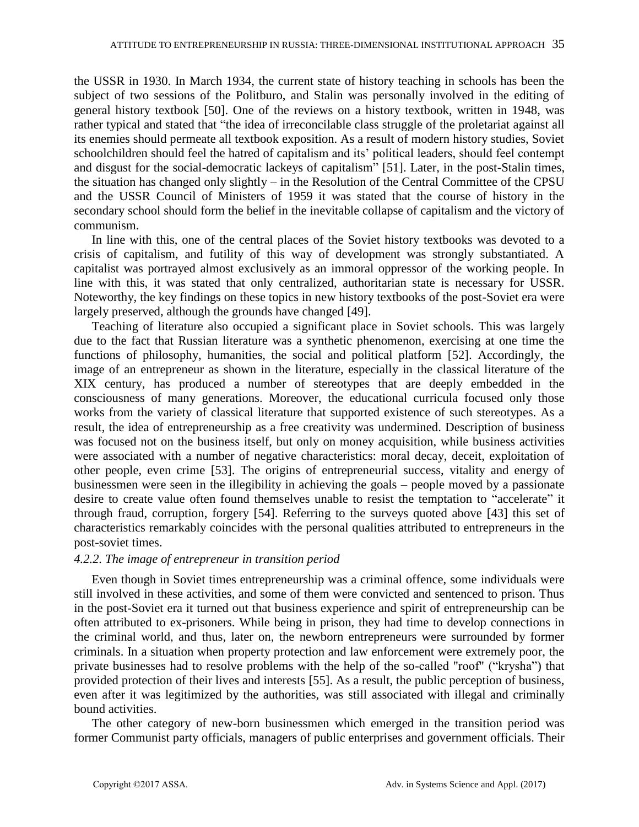the USSR in 1930. In March 1934, the current state of history teaching in schools has been the subject of two sessions of the Politburo, and Stalin was personally involved in the editing of general history textbook [50]. One of the reviews on a history textbook, written in 1948, was rather typical and stated that "the idea of irreconcilable class struggle of the proletariat against all its enemies should permeate all textbook exposition. As a result of modern history studies, Soviet schoolchildren should feel the hatred of capitalism and its' political leaders, should feel contempt and disgust for the social-democratic lackeys of capitalism" [51]. Later, in the post-Stalin times, the situation has changed only slightly – in the Resolution of the Central Committee of the CPSU and the USSR Council of Ministers of 1959 it was stated that the course of history in the secondary school should form the belief in the inevitable collapse of capitalism and the victory of communism.

In line with this, one of the central places of the Soviet history textbooks was devoted to a crisis of capitalism, and futility of this way of development was strongly substantiated. A capitalist was portrayed almost exclusively as an immoral oppressor of the working people. In line with this, it was stated that only centralized, authoritarian state is necessary for USSR. Noteworthy, the key findings on these topics in new history textbooks of the post-Soviet era were largely preserved, although the grounds have changed [49].

Teaching of literature also occupied a significant place in Soviet schools. This was largely due to the fact that Russian literature was a synthetic phenomenon, exercising at one time the functions of philosophy, humanities, the social and political platform [52]. Accordingly, the image of an entrepreneur as shown in the literature, especially in the classical literature of the XIX century, has produced a number of stereotypes that are deeply embedded in the consciousness of many generations. Moreover, the educational curricula focused only those works from the variety of classical literature that supported existence of such stereotypes. As a result, the idea of entrepreneurship as a free creativity was undermined. Description of business was focused not on the business itself, but only on money acquisition, while business activities were associated with a number of negative characteristics: moral decay, deceit, exploitation of other people, even crime [53]. The origins of entrepreneurial success, vitality and energy of businessmen were seen in the illegibility in achieving the goals – people moved by a passionate desire to create value often found themselves unable to resist the temptation to "accelerate" it through fraud, corruption, forgery [54]. Referring to the surveys quoted above [43] this set of characteristics remarkably coincides with the personal qualities attributed to entrepreneurs in the post-soviet times.

## *4.2.2. The image of entrepreneur in transition period*

Even though in Soviet times entrepreneurship was a criminal offence, some individuals were still involved in these activities, and some of them were convicted and sentenced to prison. Thus in the post-Soviet era it turned out that business experience and spirit of entrepreneurship can be often attributed to ex-prisoners. While being in prison, they had time to develop connections in the criminal world, and thus, later on, the newborn entrepreneurs were surrounded by former criminals. In a situation when property protection and law enforcement were extremely poor, the private businesses had to resolve problems with the help of the so-called "roof" ("krysha") that provided protection of their lives and interests [55]. As a result, the public perception of business, even after it was legitimized by the authorities, was still associated with illegal and criminally bound activities.

The other category of new-born businessmen which emerged in the transition period was former Communist party officials, managers of public enterprises and government officials. Their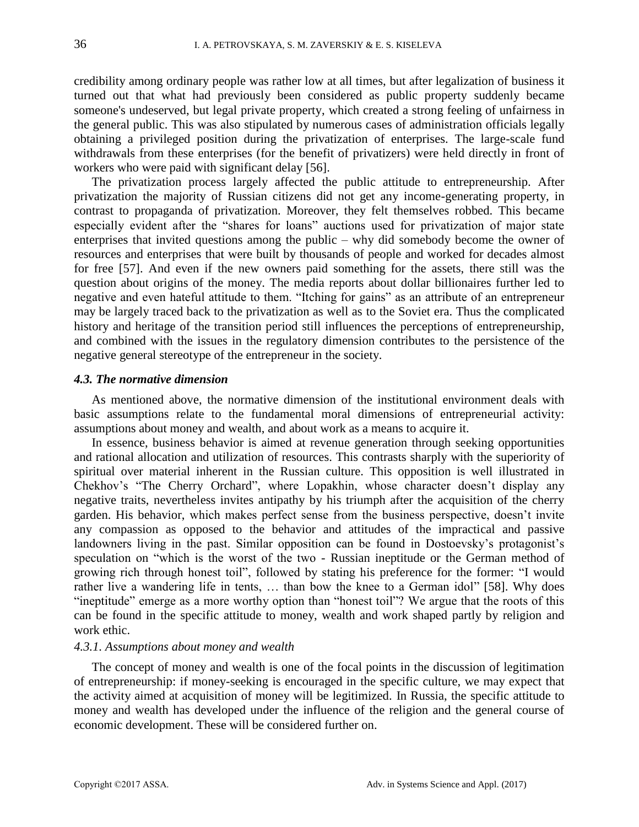credibility among ordinary people was rather low at all times, but after legalization of business it turned out that what had previously been considered as public property suddenly became someone's undeserved, but legal private property, which created a strong feeling of unfairness in the general public. This was also stipulated by numerous cases of administration officials legally obtaining a privileged position during the privatization of enterprises. The large-scale fund withdrawals from these enterprises (for the benefit of privatizers) were held directly in front of workers who were paid with significant delay [56].

The privatization process largely affected the public attitude to entrepreneurship. After privatization the majority of Russian citizens did not get any income-generating property, in contrast to propaganda of privatization. Moreover, they felt themselves robbed. This became especially evident after the "shares for loans" auctions used for privatization of major state enterprises that invited questions among the public – why did somebody become the owner of resources and enterprises that were built by thousands of people and worked for decades almost for free [57]. And even if the new owners paid something for the assets, there still was the question about origins of the money. The media reports about dollar billionaires further led to negative and even hateful attitude to them. "Itching for gains" as an attribute of an entrepreneur may be largely traced back to the privatization as well as to the Soviet era. Thus the complicated history and heritage of the transition period still influences the perceptions of entrepreneurship, and combined with the issues in the regulatory dimension contributes to the persistence of the negative general stereotype of the entrepreneur in the society.

#### *4.3. The normative dimension*

As mentioned above, the normative dimension of the institutional environment deals with basic assumptions relate to the fundamental moral dimensions of entrepreneurial activity: assumptions about money and wealth, and about work as a means to acquire it.

In essence, business behavior is aimed at revenue generation through seeking opportunities and rational allocation and utilization of resources. This contrasts sharply with the superiority of spiritual over material inherent in the Russian culture. This opposition is well illustrated in Chekhov's "The Cherry Orchard", where Lopakhin, whose character doesn't display any negative traits, nevertheless invites antipathy by his triumph after the acquisition of the cherry garden. His behavior, which makes perfect sense from the business perspective, doesn't invite any compassion as opposed to the behavior and attitudes of the impractical and passive landowners living in the past. Similar opposition can be found in Dostoevsky's protagonist's speculation on "which is the worst of the two - Russian ineptitude or the German method of growing rich through honest toil", followed by stating his preference for the former: "I would rather live a wandering life in tents, ... than bow the knee to a German idol" [58]. Why does "ineptitude" emerge as a more worthy option than "honest toil"? We argue that the roots of this can be found in the specific attitude to money, wealth and work shaped partly by religion and work ethic.

## *4.3.1. Assumptions about money and wealth*

The concept of money and wealth is one of the focal points in the discussion of legitimation of entrepreneurship: if money-seeking is encouraged in the specific culture, we may expect that the activity aimed at acquisition of money will be legitimized. In Russia, the specific attitude to money and wealth has developed under the influence of the religion and the general course of economic development. These will be considered further on.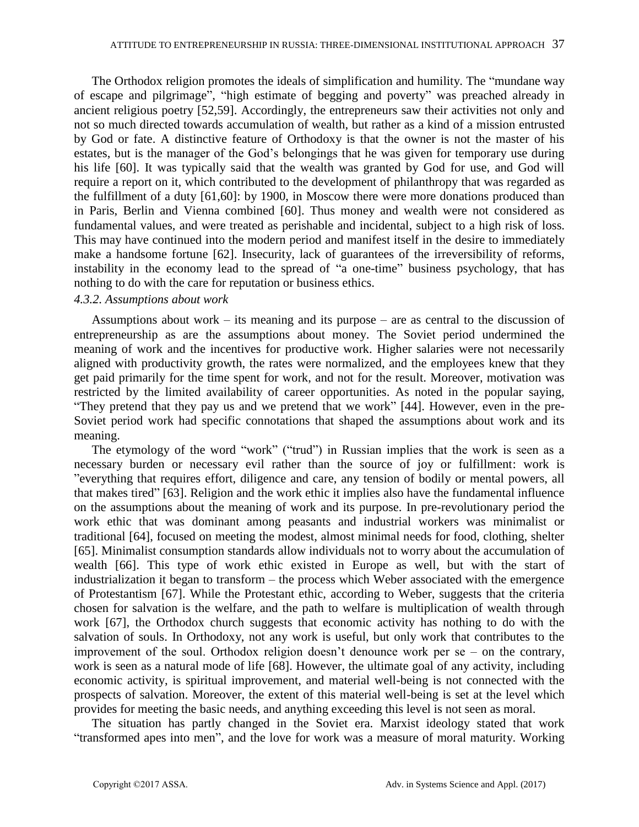The Orthodox religion promotes the ideals of simplification and humility. The "mundane way of escape and pilgrimage", "high estimate of begging and poverty" was preached already in ancient religious poetry [52,59]. Accordingly, the entrepreneurs saw their activities not only and not so much directed towards accumulation of wealth, but rather as a kind of a mission entrusted by God or fate. A distinctive feature of Orthodoxy is that the owner is not the master of his estates, but is the manager of the God's belongings that he was given for temporary use during his life [60]. It was typically said that the wealth was granted by God for use, and God will require a report on it, which contributed to the development of philanthropy that was regarded as the fulfillment of a duty [61,60]: by 1900, in Moscow there were more donations produced than in Paris, Berlin and Vienna combined [60]. Thus money and wealth were not considered as fundamental values, and were treated as perishable and incidental, subject to a high risk of loss. This may have continued into the modern period and manifest itself in the desire to immediately make a handsome fortune [62]. Insecurity, lack of guarantees of the irreversibility of reforms, instability in the economy lead to the spread of "a one-time" business psychology, that has nothing to do with the care for reputation or business ethics.

#### *4.3.2. Assumptions about work*

Assumptions about work – its meaning and its purpose – are as central to the discussion of entrepreneurship as are the assumptions about money. The Soviet period undermined the meaning of work and the incentives for productive work. Higher salaries were not necessarily aligned with productivity growth, the rates were normalized, and the employees knew that they get paid primarily for the time spent for work, and not for the result. Moreover, motivation was restricted by the limited availability of career opportunities. As noted in the popular saying, "They pretend that they pay us and we pretend that we work" [44]. However, even in the pre-Soviet period work had specific connotations that shaped the assumptions about work and its meaning.

The etymology of the word "work" ("trud") in Russian implies that the work is seen as a necessary burden or necessary evil rather than the source of joy or fulfillment: work is "everything that requires effort, diligence and care, any tension of bodily or mental powers, all that makes tired" [63]. Religion and the work ethic it implies also have the fundamental influence on the assumptions about the meaning of work and its purpose. In pre-revolutionary period the work ethic that was dominant among peasants and industrial workers was minimalist or traditional [64], focused on meeting the modest, almost minimal needs for food, clothing, shelter [65]. Minimalist consumption standards allow individuals not to worry about the accumulation of wealth [66]. This type of work ethic existed in Europe as well, but with the start of industrialization it began to transform – the process which Weber associated with the emergence of Protestantism [67]. While the Protestant ethic, according to Weber, suggests that the criteria chosen for salvation is the welfare, and the path to welfare is multiplication of wealth through work [67], the Orthodox church suggests that economic activity has nothing to do with the salvation of souls. In Orthodoxy, not any work is useful, but only work that contributes to the improvement of the soul. Orthodox religion doesn't denounce work per se – on the contrary, work is seen as a natural mode of life [68]. However, the ultimate goal of any activity, including economic activity, is spiritual improvement, and material well-being is not connected with the prospects of salvation. Moreover, the extent of this material well-being is set at the level which provides for meeting the basic needs, and anything exceeding this level is not seen as moral.

The situation has partly changed in the Soviet era. Marxist ideology stated that work "transformed apes into men", and the love for work was a measure of moral maturity. Working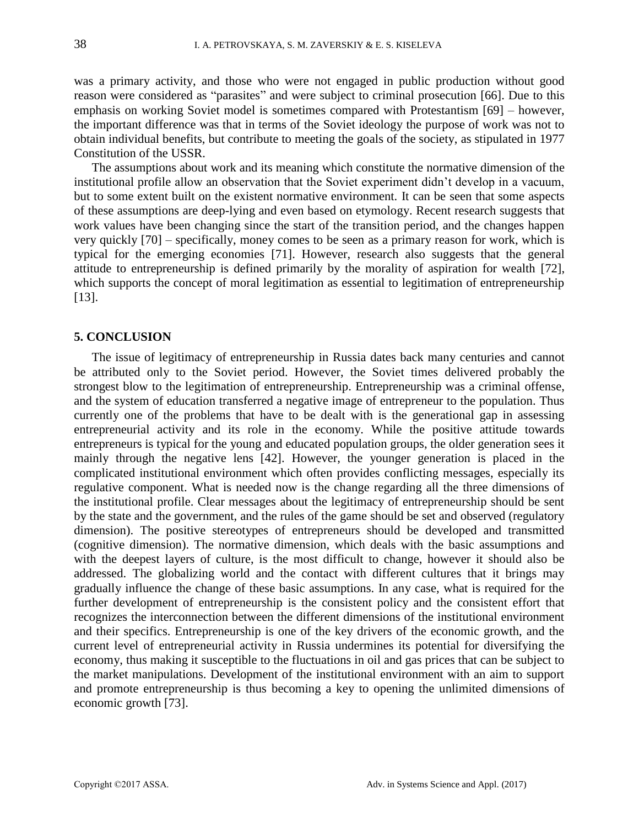was a primary activity, and those who were not engaged in public production without good reason were considered as "parasites" and were subject to criminal prosecution [66]. Due to this emphasis on working Soviet model is sometimes compared with Protestantism [69] – however, the important difference was that in terms of the Soviet ideology the purpose of work was not to obtain individual benefits, but contribute to meeting the goals of the society, as stipulated in 1977 Constitution of the USSR.

The assumptions about work and its meaning which constitute the normative dimension of the institutional profile allow an observation that the Soviet experiment didn't develop in a vacuum, but to some extent built on the existent normative environment. It can be seen that some aspects of these assumptions are deep-lying and even based on etymology. Recent research suggests that work values have been changing since the start of the transition period, and the changes happen very quickly [70] – specifically, money comes to be seen as a primary reason for work, which is typical for the emerging economies [71]. However, research also suggests that the general attitude to entrepreneurship is defined primarily by the morality of aspiration for wealth [72], which supports the concept of moral legitimation as essential to legitimation of entrepreneurship [13].

## **5. CONCLUSION**

The issue of legitimacy of entrepreneurship in Russia dates back many centuries and cannot be attributed only to the Soviet period. However, the Soviet times delivered probably the strongest blow to the legitimation of entrepreneurship. Entrepreneurship was a criminal offense, and the system of education transferred a negative image of entrepreneur to the population. Thus currently one of the problems that have to be dealt with is the generational gap in assessing entrepreneurial activity and its role in the economy. While the positive attitude towards entrepreneurs is typical for the young and educated population groups, the older generation sees it mainly through the negative lens [42]. However, the younger generation is placed in the complicated institutional environment which often provides conflicting messages, especially its regulative component. What is needed now is the change regarding all the three dimensions of the institutional profile. Clear messages about the legitimacy of entrepreneurship should be sent by the state and the government, and the rules of the game should be set and observed (regulatory dimension). The positive stereotypes of entrepreneurs should be developed and transmitted (cognitive dimension). The normative dimension, which deals with the basic assumptions and with the deepest layers of culture, is the most difficult to change, however it should also be addressed. The globalizing world and the contact with different cultures that it brings may gradually influence the change of these basic assumptions. In any case, what is required for the further development of entrepreneurship is the consistent policy and the consistent effort that recognizes the interconnection between the different dimensions of the institutional environment and their specifics. Entrepreneurship is one of the key drivers of the economic growth, and the current level of entrepreneurial activity in Russia undermines its potential for diversifying the economy, thus making it susceptible to the fluctuations in oil and gas prices that can be subject to the market manipulations. Development of the institutional environment with an aim to support and promote entrepreneurship is thus becoming a key to opening the unlimited dimensions of economic growth [73].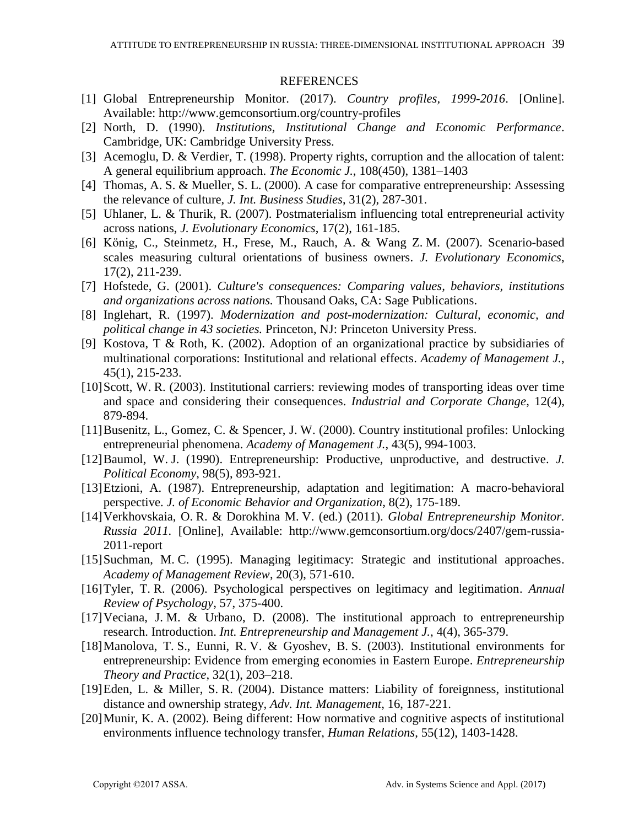## **REFERENCES**

- [1] Global Entrepreneurship Monitor. (2017). *Country profiles, 1999-2016*. [Online]. Available: http://www.gemconsortium.org/country-profiles
- [2] North, D. (1990). *Institutions, Institutional Change and Economic Performance*. Cambridge, UK: Cambridge University Press.
- [3] Acemoglu, D. & Verdier, T. (1998). Property rights, corruption and the allocation of talent: A general equilibrium approach. *The Economic J.*, 108(450), 1381–1403
- [4] Thomas, A. S. & Mueller, S. L. (2000). A case for comparative entrepreneurship: Assessing the relevance of culture, *J. Int. Business Studies*, 31(2), 287-301.
- [5] Uhlaner, L. & Thurik, R. (2007). Postmaterialism influencing total entrepreneurial activity across nations, *J. Evolutionary Economics*, 17(2), 161-185.
- [6] König, C., Steinmetz, H., Frese, M., Rauch, A. & Wang Z. M. (2007). Scenario-based scales measuring cultural orientations of business owners. *J. Evolutionary Economics*, 17(2), 211-239.
- [7] Hofstede, G. (2001). *Culture's consequences: Comparing values, behaviors, institutions and organizations across nations.* Thousand Oaks, CA: Sage Publications.
- [8] Inglehart, R. (1997). *Modernization and post-modernization: Cultural, economic, and political change in 43 societies.* Princeton, NJ: Princeton University Press.
- [9] Kostova, T & Roth, K. (2002). Adoption of an organizational practice by subsidiaries of multinational corporations: Institutional and relational effects. *Academy of Management J.*, 45(1), 215-233.
- [10]Scott, W. R. (2003). Institutional carriers: reviewing modes of transporting ideas over time and space and considering their consequences. *Industrial and Corporate Change*, 12(4), 879-894.
- [11]Busenitz, L., Gomez, C. & Spencer, J. W. (2000). Country institutional profiles: Unlocking entrepreneurial phenomena. *Academy of Management J.*, 43(5), 994-1003.
- [12]Baumol, W. J. (1990). Entrepreneurship: Productive, unproductive, and destructive. *J. Political Economy*, 98(5), 893-921.
- [13]Etzioni, A. (1987). Entrepreneurship, adaptation and legitimation: A macro-behavioral perspective. *J. of Economic Behavior and Organization*, 8(2), 175-189.
- [14]Verkhovskaia, O. R. & Dorokhina M. V. (ed.) (2011). *Global Entrepreneurship Monitor. Russia 2011.* [Online], Available: http://www.gemconsortium.org/docs/2407/gem-russia-2011-report
- [15]Suchman, M. C. (1995). Managing legitimacy: Strategic and institutional approaches. *Academy of Management Review*, 20(3), 571-610.
- [16]Tyler, T. R. (2006). Psychological perspectives on legitimacy and legitimation. *Annual Review of Psychology*, 57, 375-400.
- [17]Veciana, J. M. & Urbano, D. (2008). The institutional approach to entrepreneurship research. Introduction. *Int. Entrepreneurship and Management J.*, 4(4), 365-379.
- [18]Manolova, T. S., Eunni, R. V. & Gyoshev, B. S. (2003). Institutional environments for entrepreneurship: Evidence from emerging economies in Eastern Europe. *Entrepreneurship Theory and Practice*, 32(1), 203–218.
- [19]Eden, L. & Miller, S. R. (2004). Distance matters: Liability of foreignness, institutional distance and ownership strategy, *Adv. Int. Management*, 16, 187-221.
- [20]Munir, K. A. (2002). Being different: How normative and cognitive aspects of institutional environments influence technology transfer, *Human Relations*, 55(12), 1403-1428.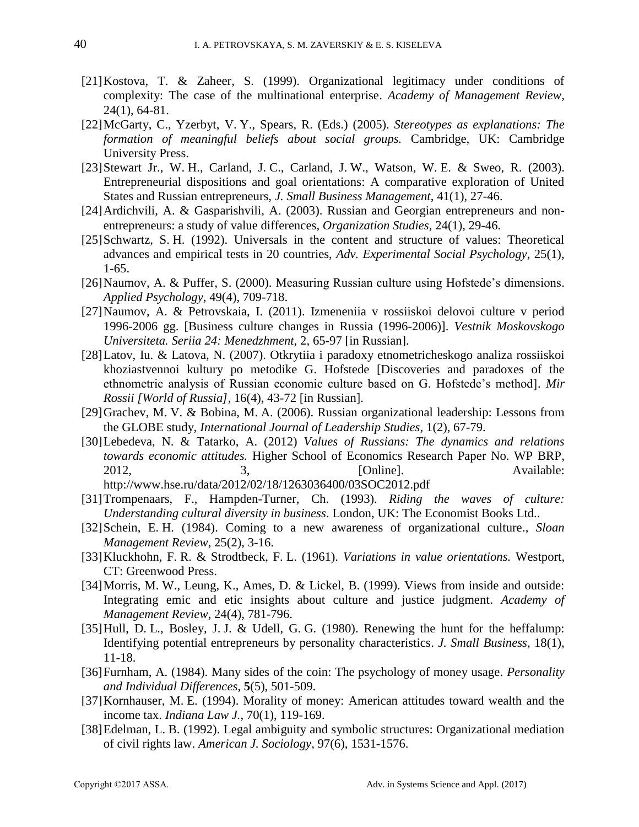- [21]Kostova, T. & Zaheer, S. (1999). Organizational legitimacy under conditions of complexity: The case of the multinational enterprise. *Academy of Management Review*, 24(1), 64-81.
- [22]McGarty, C., Yzerbyt, V. Y., Spears, R. (Eds.) (2005). *Stereotypes as explanations: The formation of meaningful beliefs about social groups.* Cambridge, UK: Cambridge University Press.
- [23] Stewart Jr., W. H., Carland, J. C., Carland, J. W., Watson, W. E. & Sweo, R. (2003). Entrepreneurial dispositions and goal orientations: A comparative exploration of United States and Russian entrepreneurs, *J. Small Business Management*, 41(1), 27-46.
- [24]Ardichvili, A. & Gasparishvili, A. (2003). Russian and Georgian entrepreneurs and nonentrepreneurs: a study of value differences*, Organization Studies*, 24(1), 29-46.
- [25]Schwartz, S. H. (1992). Universals in the content and structure of values: Theoretical advances and empirical tests in 20 countries, *Adv. Experimental Social Psychology*, 25(1), 1-65.
- [26]Naumov, A. & Puffer, S. (2000). Measuring Russian culture using Hofstede's dimensions. *Applied Psychology*, 49(4), 709-718.
- [27]Naumov, A. & Petrovskaia, I. (2011). Izmeneniia v rossiiskoi delovoi culture v period 1996-2006 gg. [Business culture changes in Russia (1996-2006)]. *Vestnik Moskovskogo Universiteta. Seriia 24: Menedzhment,* 2*,* 65-97 [in Russian]*.*
- [28]Latov, Iu. & Latova, N. (2007). Otkrytiia i paradoxy etnometricheskogo analiza rossiiskoi khoziastvennoi kultury po metodike G. Hofstede [Discoveries and paradoxes of the ethnometric analysis of Russian economic culture based on G. Hofstede's method]. *Mir Rossii [World of Russia]*, 16(4), 43-72 [in Russian]*.*
- [29]Grachev, M. V. & Bobina, M. A. (2006). Russian organizational leadership: Lessons from the GLOBE study, *International Journal of Leadership Studies*, 1(2), 67-79.
- [30]Lebedeva, N. & Tatarko, A. (2012) *Values of Russians: The dynamics and relations towards economic attitudes.* Higher School of Economics Research Paper No. WP BRP, 2012, 3, 3, [Online]. Available: http://www.hse.ru/data/2012/02/18/1263036400/03SOC2012.pdf
- [31]Trompenaars, F., Hampden-Turner, Ch. (1993). *Riding the waves of culture: Understanding cultural diversity in business*. London, UK: The Economist Books Ltd..
- [32]Schein, E. H. (1984). Coming to a new awareness of organizational culture., *Sloan Management Review*, 25(2), 3-16.
- [33]Kluckhohn, F. R. & Strodtbeck, F. L. (1961). *Variations in value orientations.* Westport, CT: Greenwood Press.
- [34]Morris, M. W., Leung, K., Ames, D. & Lickel, B. (1999). Views from inside and outside: Integrating emic and etic insights about culture and justice judgment. *Academy of Management Review*, 24(4), 781-796.
- [35] Hull, D. L., Bosley, J. J. & Udell, G. G. (1980). Renewing the hunt for the heffalump: Identifying potential entrepreneurs by personality characteristics. *J. Small Business*, 18(1), 11-18.
- [36]Furnham, A. (1984). Many sides of the coin: The psychology of money usage. *Personality and Individual Differences*, **5**(5), 501-509.
- [37]Kornhauser, M. E. (1994). Morality of money: American attitudes toward wealth and the income tax. *Indiana Law J.*, 70(1), 119-169.
- [38]Edelman, L. B. (1992). Legal ambiguity and symbolic structures: Organizational mediation of civil rights law. *American J. Sociology*, 97(6), 1531-1576.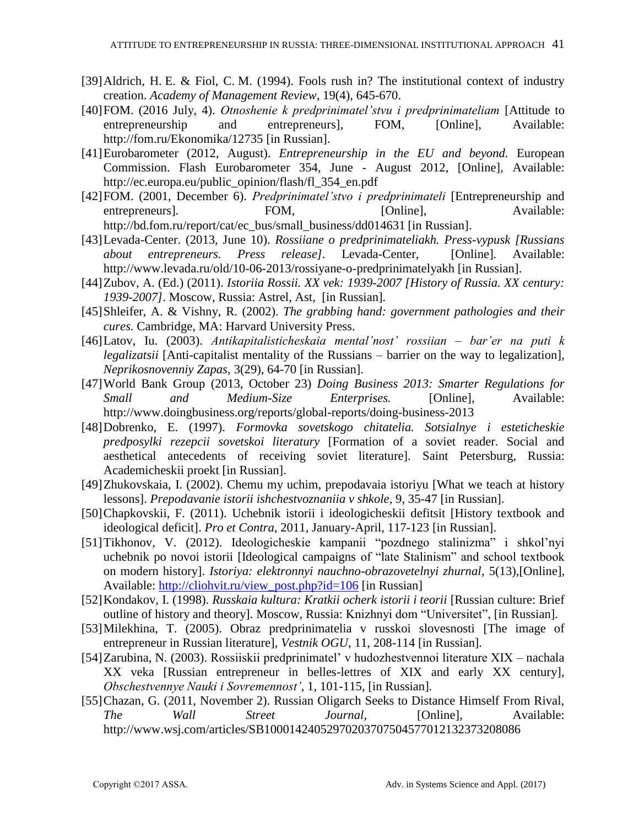- [39] Aldrich, H. E. & Fiol, C. M. (1994). Fools rush in? The institutional context of industry creation. *Academy of Management Review*, 19(4), 645-670.
- [40]FOM. (2016 July, 4). *Otnoshenie k predprinimatel'stvu i predprinimateliam* [Attitude to entrepreneurship and entrepreneurs]. FOM. [Online]. Available: entrepreneurship and entrepreneurs], FOM, [Online], Available: http://fom.ru/Ekonomika/12735 [in Russian].
- [41]Eurobarometer (2012, August). *Entrepreneurship in the EU and beyond.* European Commission. Flash Eurobarometer 354, June - August 2012, [Online], Available: http://ec.europa.eu/public\_opinion/flash/fl\_354\_en.pdf
- [42]FOM. (2001, December 6). *Predprinimatel'stvo i predprinimateli* [Entrepreneurship and entrepreneurs]. FOM, [Online], [http://bd.fom.ru/report/cat/ec\\_bus/small\\_business/dd014631](http://bd.fom.ru/report/cat/ec_bus/small_business/dd014631) [in Russian].
- [43]Levada-Center. (2013, June 10). *Rossiiane o predprinimateliakh. Press-vypusk [Russians about entrepreneurs. Press release].* Levada-Center, [Online]*.* Available: http://www.levada.ru/old/10-06-2013/rossiyane-o-predprinimatelyakh [in Russian].
- [44]Zubov, A. (Ed.) (2011). *Istoriia Rossii. XX vek: 1939-2007 [History of Russia. XX century: 1939-2007]*. Moscow, Russia: Astrel, Ast, [in Russian]*.*
- [45]Shleifer, A. & Vishny, R. (2002). *The grabbing hand: government pathologies and their cures.* Cambridge, MA: Harvard University Press.
- [46]Latov, Iu. (2003). *Antikapitalisticheskaia mental'nost' rossiian – bar'er na puti k legalizatsii* [Anti-capitalist mentality of the Russians – barrier on the way to legalization], *Neprikosnovenniy Zapas*, 3(29), 64-70 [in Russian]*.*
- [47]World Bank Group (2013, October 23) *Doing Business 2013: Smarter Regulations for Small and Medium-Size Enterprises.* [Online], Available: <http://www.doingbusiness.org/reports/global-reports/doing-business-2013>
- [48]Dobrenko, E. (1997). *Formovka sovetskogo chitatelia. Sotsialnye i esteticheskie predposylki rezepcii sovetskoi literatury* [Formation of a soviet reader. Social and aesthetical antecedents of receiving soviet literature]*.* Saint Petersburg, Russia: Academicheskii proekt [in Russian].
- [49]Zhukovskaia, I. (2002). Chemu my uchim, prepodavaia istoriyu [What we teach at history lessons]. *Prepodavanie istorii ishchestvoznaniia v shkole*, 9, 35-47 [in Russian]*.*
- [50]Chapkovskii, F. (2011). Uchebnik istorii i ideologicheskii defitsit [History textbook and ideological deficit]. *Pro et Contra*, 2011, January-April, 117-123 [in Russian].
- [51]Tikhonov, V. (2012). Ideologicheskie kampanii "pozdnego stalinizma" i shkol'nyi uchebnik po novoi istorii [Ideological campaigns of "late Stalinism" and school textbook on modern history]. *Istoriya: elektronnyi nauchno-obrazovetelnyi zhurnal*, 5(13),[Online]*,* Available: [http://cliohvit.ru/view\\_post.php?id=106](http://cliohvit.ru/view_post.php?id=106) [in Russian]
- [52]Kondakov, I. (1998). *Russkaia kultura: Kratkii ocherk istorii i teorii* [Russian culture: Brief outline of history and theory]*.* Moscow, Russia: Knizhnyi dom "Universitet", [in Russian]*.*
- [53]Milekhina, T. (2005). Obraz predprinimatelia v russkoi slovesnosti [The image of entrepreneur in Russian literature], *Vestnik OGU*, 11, 208-114 [in Russian]*.*
- [54]Zarubina, N. (2003). Rossiiskii predprinimatel' v hudozhestvennoi literature XIX nachala XX veka [Russian entrepreneur in belles-lettres of XIX and early XX century], *Obschestvennye Nauki i Sovremennost'*, 1, 101-115, [in Russian]*.*
- [55]Chazan, G. (2011, November 2). Russian Oligarch Seeks to Distance Himself From Rival, *The Wall Street Journal*, [Online], Available: http://www.wsj.com/articles/SB10001424052970203707504577012132373208086